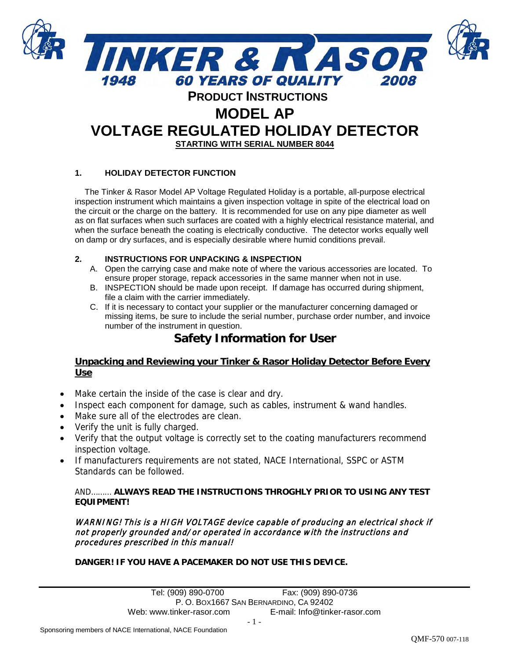

# **VOLTAGE REGULATED HOLIDAY DETECTOR STARTING WITH SERIAL NUMBER 8044**

## **1. HOLIDAY DETECTOR FUNCTION**

The Tinker & Rasor Model AP Voltage Regulated Holiday is a portable, all-purpose electrical inspection instrument which maintains a given inspection voltage in spite of the electrical load on the circuit or the charge on the battery. It is recommended for use on any pipe diameter as well as on flat surfaces when such surfaces are coated with a highly electrical resistance material, and when the surface beneath the coating is electrically conductive. The detector works equally well on damp or dry surfaces, and is especially desirable where humid conditions prevail.

#### **2. INSTRUCTIONS FOR UNPACKING & INSPECTION**

- A. Open the carrying case and make note of where the various accessories are located. To ensure proper storage, repack accessories in the same manner when not in use.
- B. INSPECTION should be made upon receipt. If damage has occurred during shipment, file a claim with the carrier immediately.
- C. If it is necessary to contact your supplier or the manufacturer concerning damaged or missing items, be sure to include the serial number, purchase order number, and invoice number of the instrument in question.

# **Safety Information for User**

## **Unpacking and Reviewing your Tinker & Rasor Holiday Detector Before Every Use**

- Make certain the inside of the case is clear and dry.
- Inspect each component for damage, such as cables, instrument & wand handles.
- Make sure all of the electrodes are clean.
- Verify the unit is fully charged.
- Verify that the output voltage is correctly set to the coating manufacturers recommend inspection voltage.
- If manufacturers requirements are not stated, NACE International, SSPC or ASTM Standards can be followed.

## AND……… **ALWAYS READ THE INSTRUCTIONS THROGHLY PRIOR TO USING ANY TEST EQUIPMENT!**

WARNING! This is a HIGH VOLTAGE device capable of producing an electrical shock if not properly grounded and/or operated in accordance with the instructions and procedures prescribed in this manual!

## **DANGER! IF YOU HAVE A PACEMAKER DO NOT USE THIS DEVICE.**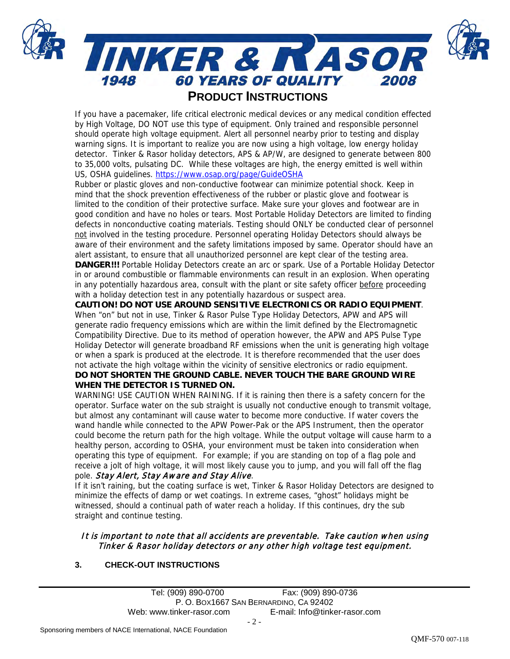

## **PRODUCT INSTRUCTIONS**

If you have a pacemaker, life critical electronic medical devices or any medical condition effected by High Voltage, DO NOT use this type of equipment. Only trained and responsible personnel should operate high voltage equipment. Alert all personnel nearby prior to testing and display warning signs. It is important to realize you are now using a high voltage, low energy holiday detector. Tinker & Rasor holiday detectors, APS & AP/W, are designed to generate between 800 to 35,000 volts, pulsating DC. While these voltages are high, the energy emitted is well within US, OSHA guidelines.<https://www.osap.org/page/GuideOSHA>

Rubber or plastic gloves and non-conductive footwear can minimize potential shock. Keep in mind that the shock prevention effectiveness of the rubber or plastic glove and footwear is limited to the condition of their protective surface. Make sure your gloves and footwear are in good condition and have no holes or tears. Most Portable Holiday Detectors are limited to finding defects in nonconductive coating materials. Testing should ONLY be conducted clear of personnel not involved in the testing procedure. Personnel operating Holiday Detectors should always be aware of their environment and the safety limitations imposed by same. Operator should have an alert assistant, to ensure that all unauthorized personnel are kept clear of the testing area.

**DANGER!!!** Portable Holiday Detectors create an arc or spark. Use of a Portable Holiday Detector in or around combustible or flammable environments can result in an explosion. When operating in any potentially hazardous area, consult with the plant or site safety officer before proceeding with a holiday detection test in any potentially hazardous or suspect area.

**CAUTION! DO NOT USE AROUND SENSITIVE ELECTRONICS OR RADIO EQUIPMENT**. When "on" but not in use, Tinker & Rasor Pulse Type Holiday Detectors, APW and APS will generate radio frequency emissions which are within the limit defined by the Electromagnetic Compatibility Directive. Due to its method of operation however, the APW and APS Pulse Type Holiday Detector will generate broadband RF emissions when the unit is generating high voltage or when a spark is produced at the electrode. It is therefore recommended that the user does not activate the high voltage within the vicinity of sensitive electronics or radio equipment.

## **DO NOT SHORTEN THE GROUND CABLE. NEVER TOUCH THE BARE GROUND WIRE WHEN THE DETECTOR IS TURNED ON.**

WARNING! USE CAUTION WHEN RAINING. If it is raining then there is a safety concern for the operator. Surface water on the sub straight is usually not conductive enough to transmit voltage, but almost any contaminant will cause water to become more conductive. If water covers the wand handle while connected to the APW Power-Pak or the APS Instrument, then the operator could become the return path for the high voltage. While the output voltage will cause harm to a healthy person, according to OSHA, your environment must be taken into consideration when operating this type of equipment. For example; if you are standing on top of a flag pole and receive a jolt of high voltage, it will most likely cause you to jump, and you will fall off the flag pole. Stay Alert, Stay Aware and Stay Alive.

If it isn't raining, but the coating surface is wet, Tinker & Rasor Holiday Detectors are designed to minimize the effects of damp or wet coatings. In extreme cases, "ghost" holidays might be witnessed, should a continual path of water reach a holiday. If this continues, dry the sub straight and continue testing.

## It is important to note that all accidents are preventable. Take caution when using Tinker & Rasor holiday detectors or any other high voltage test equipment.

## **3. CHECK-OUT INSTRUCTIONS**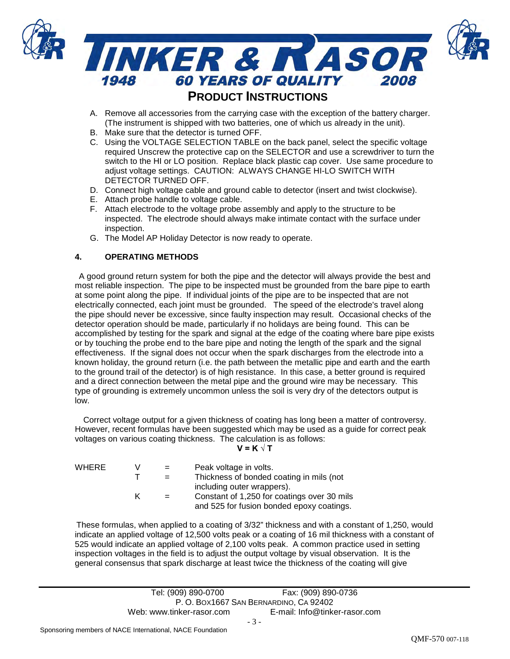

# **PRODUCT INSTRUCTIONS**

- A. Remove all accessories from the carrying case with the exception of the battery charger. (The instrument is shipped with two batteries, one of which us already in the unit).
- B. Make sure that the detector is turned OFF.
- C. Using the VOLTAGE SELECTION TABLE on the back panel, select the specific voltage required Unscrew the protective cap on the SELECTOR and use a screwdriver to turn the switch to the HI or LO position. Replace black plastic cap cover. Use same procedure to adjust voltage settings. CAUTION: ALWAYS CHANGE HI-LO SWITCH WITH DETECTOR TURNED OFF.
- D. Connect high voltage cable and ground cable to detector (insert and twist clockwise).
- E. Attach probe handle to voltage cable.
- F. Attach electrode to the voltage probe assembly and apply to the structure to be inspected. The electrode should always make intimate contact with the surface under inspection.
- G. The Model AP Holiday Detector is now ready to operate.

## **4. OPERATING METHODS**

A good ground return system for both the pipe and the detector will always provide the best and most reliable inspection. The pipe to be inspected must be grounded from the bare pipe to earth at some point along the pipe. If individual joints of the pipe are to be inspected that are not electrically connected, each joint must be grounded. The speed of the electrode's travel along the pipe should never be excessive, since faulty inspection may result. Occasional checks of the detector operation should be made, particularly if no holidays are being found. This can be accomplished by testing for the spark and signal at the edge of the coating where bare pipe exists or by touching the probe end to the bare pipe and noting the length of the spark and the signal effectiveness. If the signal does not occur when the spark discharges from the electrode into a known holiday, the ground return (i.e. the path between the metallic pipe and earth and the earth to the ground trail of the detector) is of high resistance. In this case, a better ground is required and a direct connection between the metal pipe and the ground wire may be necessary. This type of grounding is extremely uncommon unless the soil is very dry of the detectors output is low.

Correct voltage output for a given thickness of coating has long been a matter of controversy. However, recent formulas have been suggested which may be used as a guide for correct peak voltages on various coating thickness. The calculation is as follows:

**V = K √ T**

| WHERE | V | $=$ | Peak voltage in volts.                      |
|-------|---|-----|---------------------------------------------|
|       |   |     | Thickness of bonded coating in mils (not    |
|       |   |     | including outer wrappers).                  |
|       | ĸ |     | Constant of 1,250 for coatings over 30 mils |
|       |   |     | and 525 for fusion bonded epoxy coatings.   |

These formulas, when applied to a coating of 3/32" thickness and with a constant of 1,250, would indicate an applied voltage of 12,500 volts peak or a coating of 16 mil thickness with a constant of 525 would indicate an applied voltage of 2,100 volts peak. A common practice used in setting inspection voltages in the field is to adjust the output voltage by visual observation. It is the general consensus that spark discharge at least twice the thickness of the coating will give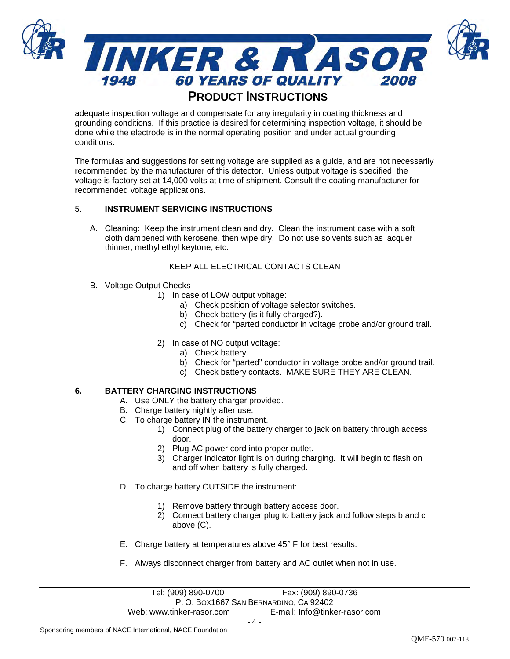

## **PRODUCT INSTRUCTIONS**

adequate inspection voltage and compensate for any irregularity in coating thickness and grounding conditions. If this practice is desired for determining inspection voltage, it should be done while the electrode is in the normal operating position and under actual grounding conditions.

The formulas and suggestions for setting voltage are supplied as a guide, and are not necessarily recommended by the manufacturer of this detector. Unless output voltage is specified, the voltage is factory set at 14,000 volts at time of shipment. Consult the coating manufacturer for recommended voltage applications.

## 5. **INSTRUMENT SERVICING INSTRUCTIONS**

A. Cleaning: Keep the instrument clean and dry. Clean the instrument case with a soft cloth dampened with kerosene, then wipe dry. Do not use solvents such as lacquer thinner, methyl ethyl keytone, etc.

## KEEP ALL ELECTRICAL CONTACTS CLEAN

- B. Voltage Output Checks
	- 1) In case of LOW output voltage:
		- a) Check position of voltage selector switches.
		- b) Check battery (is it fully charged?).
		- c) Check for "parted conductor in voltage probe and/or ground trail.
	- 2) In case of NO output voltage:
		- a) Check battery.
		- b) Check for "parted" conductor in voltage probe and/or ground trail.
		- c) Check battery contacts. MAKE SURE THEY ARE CLEAN.

## **6. BATTERY CHARGING INSTRUCTIONS**

- A. Use ONLY the battery charger provided.
- B. Charge battery nightly after use.
- C. To charge battery IN the instrument.
	- 1) Connect plug of the battery charger to jack on battery through access door.
	- 2) Plug AC power cord into proper outlet.
	- 3) Charger indicator light is on during charging. It will begin to flash on and off when battery is fully charged.
- D. To charge battery OUTSIDE the instrument:
	- 1) Remove battery through battery access door.
	- 2) Connect battery charger plug to battery jack and follow steps b and c above (C).
- E. Charge battery at temperatures above 45° F for best results.
- F. Always disconnect charger from battery and AC outlet when not in use.